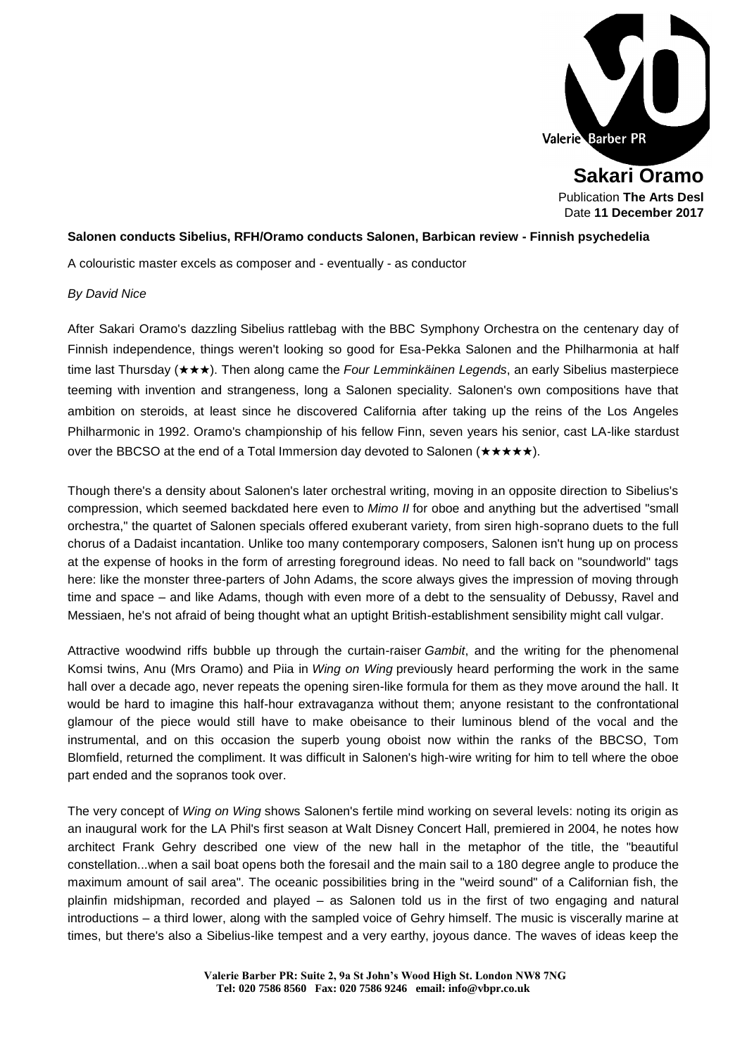

**Sakari Oramo** Publication **The Arts Desl** Date **11 December 2017**

## **Salonen conducts Sibelius, RFH/Oramo conducts Salonen, Barbican review - Finnish psychedelia**

A colouristic master excels as composer and - eventually - as conductor

## *By [David](http://www.theartsdesk.com/users/davidnice) Nice*

After Sakari Oramo's dazzling [Sibelius](http://www.theartsdesk.com/topics/sibelius) rattlebag with the [BBC Symphony Orchestra](http://www.theartsdesk.com/topics/bbcso) on the centenary day of Finnish independence, things weren't looking so good for Esa-Pekka Salonen and the Philharmonia at half time last Thursday (★★★). Then along came the *Four Lemminkäinen Legends*, an early Sibelius masterpiece teeming with invention and strangeness, long a Salonen speciality. Salonen's own compositions have that ambition on steroids, at least since he discovered California after taking up the reins of the Los Angeles Philharmonic in 1992. Oramo's championship of his fellow Finn, seven years his senior, cast LA-like stardust over the BBCSO at the end of a Total Immersion day devoted to Salonen (★★★★★).

Though there's a density about Salonen's later orchestral writing, moving in an opposite direction to Sibelius's compression, which seemed backdated here even to *Mimo II* for oboe and anything but the advertised "small orchestra," the quartet of Salonen specials offered exuberant variety, from siren high-soprano duets to the full chorus of a Dadaist incantation. Unlike too many contemporary composers, Salonen isn't hung up on process at the expense of hooks in the form of arresting foreground ideas. No need to fall back on "soundworld" tags here: like the monster three-parters of John Adams, the score always gives the impression of moving through time and space – and like Adams, though with even more of a debt to the sensuality of Debussy, Ravel and Messiaen, he's not afraid of being thought what an uptight British-establishment sensibility might call vulgar.

Attractive woodwind riffs bubble up through the curtain-raiser *Gambit*, and the writing for the phenomenal Komsi twins, Anu (Mrs Oramo) and Piia in *Wing on Wing* previously heard performing the work in the same hall over a decade ago, never repeats the opening siren-like formula for them as they move around the hall. It would be hard to imagine this half-hour extravaganza without them; anyone resistant to the confrontational glamour of the piece would still have to make obeisance to their luminous blend of the vocal and the instrumental, and on this occasion the superb young oboist now within the ranks of the BBCSO, Tom Blomfield, returned the compliment. It was difficult in Salonen's high-wire writing for him to tell where the oboe part ended and the sopranos took over.

The very concept of *Wing on Wing* shows Salonen's fertile mind working on several levels: noting its origin as an inaugural work for the LA Phil's first season at Walt Disney Concert Hall, premiered in 2004, he notes how architect Frank Gehry described one view of the new hall in the metaphor of the title, the "beautiful constellation...when a sail boat opens both the foresail and the main sail to a 180 degree angle to produce the maximum amount of sail area". The oceanic possibilities bring in the "weird sound" of a Californian fish, the plainfin midshipman, recorded and played – as Salonen told us in the first of two engaging and natural introductions – a third lower, along with the sampled voice of Gehry himself. The music is viscerally marine at times, but there's also a Sibelius-like tempest and a very earthy, joyous dance. The waves of ideas keep the